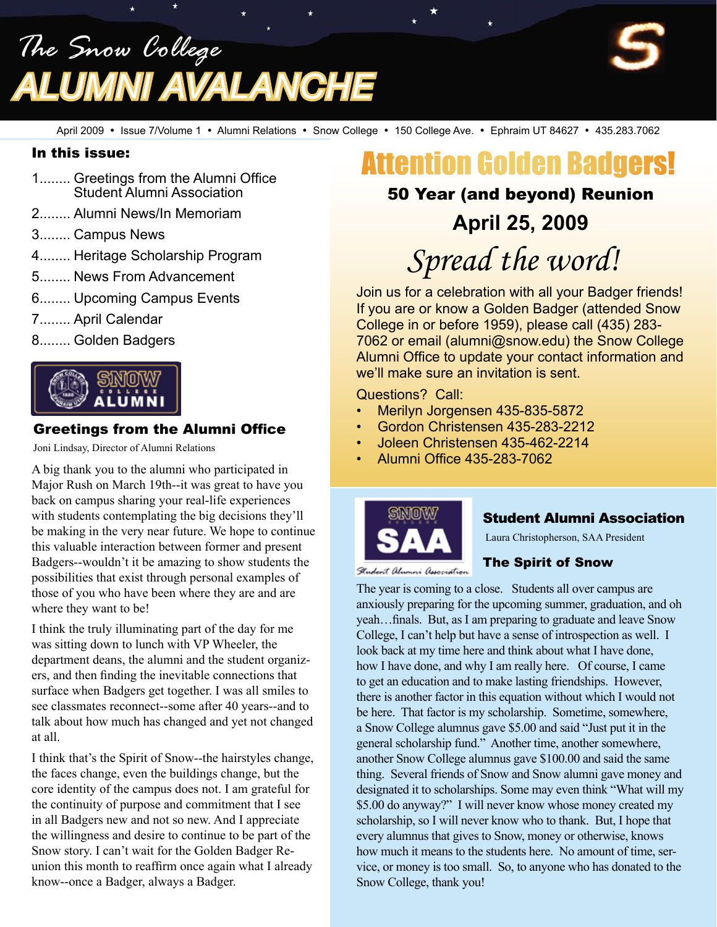*The Snow College Alumni Avalanche*

April 2009 • Issue 7/Volume 1 • Alumni Relations • Snow College • 150 College Ave. • Ephraim UT 84627 • 435.283.7062

#### In this issue:

- 1........ Greetings from the Alumni Office Student Alumni Association
- 2........ Alumni News/In Memoriam
- 3........ Campus News
- 4........ Heritage Scholarship Program
- 5........ News From Advancement
- 6........ Upcoming Campus Events
- 7........ April Calendar
- 8........ Golden Badgers



#### Greetings from the Alumni Office

Joni Lindsay, Director of Alumni Relations

A big thank you to the alumni who participated in Major Rush on March 19th--it was great to have you back on campus sharing your real-life experiences with students contemplating the big decisions they'll be making in the very near future. We hope to continue this valuable interaction between former and present Badgers--wouldn't it be amazing to show students the possibilities that exist through personal examples of those of you who have been where they are and are where they want to be!

I think the truly illuminating part of the day for me was sitting down to lunch with VP Wheeler, the department deans, the alumni and the student organizers, and then finding the inevitable connections that surface when Badgers get together. I was all smiles to see classmates reconnect--some after 40 years--and to talk about how much has changed and yet not changed at all.

I think that's the Spirit of Snow--the hairstyles change, the faces change, even the buildings change, but the core identity of the campus does not. I am grateful for the continuity of purpose and commitment that I see in all Badgers new and not so new. And I appreciate the willingness and desire to continue to be part of the Snow story. I can't wait for the Golden Badger Reunion this month to reaffirm once again what I already know--once a Badger, always a Badger.

# Attention Golden Badgers!

### 50 Year (and beyond) Reunion

## **April 25, 2009**

*Spread the word!*

Join us for a celebration with all your Badger friends! If you are or know a Golden Badger (attended Snow College in or before 1959), please call (435) 283- 7062 or email (alumni@snow.edu) the Snow College Alumni Office to update your contact information and we'll make sure an invitation is sent.

#### Questions? Call:

- Merilyn Jorgensen 435-835-5872
- Gordon Christensen 435-283-2212
- Joleen Christensen 435-462-2214
- Alumni Office 435-283-7062



#### Student Alumni Association

Laura Christopherson, SAA President



#### The Spirit of Snow

The year is coming to a close. Students all over campus are anxiously preparing for the upcoming summer, graduation, and oh yeah…finals. But, as I am preparing to graduate and leave Snow College, I can't help but have a sense of introspection as well. I look back at my time here and think about what I have done, how I have done, and why I am really here. Of course, I came to get an education and to make lasting friendships. However, there is another factor in this equation without which I would not be here. That factor is my scholarship. Sometime, somewhere, a Snow College alumnus gave \$5.00 and said "Just put it in the general scholarship fund." Another time, another somewhere, another Snow College alumnus gave \$100.00 and said the same thing. Several friends of Snow and Snow alumni gave money and designated it to scholarships. Some may even think "What will my \$5.00 do anyway?" I will never know whose money created my scholarship, so I will never know who to thank. But, I hope that every alumnus that gives to Snow, money or otherwise, knows how much it means to the students here. No amount of time, service, or money is too small. So, to anyone who has donated to the Snow College, thank you!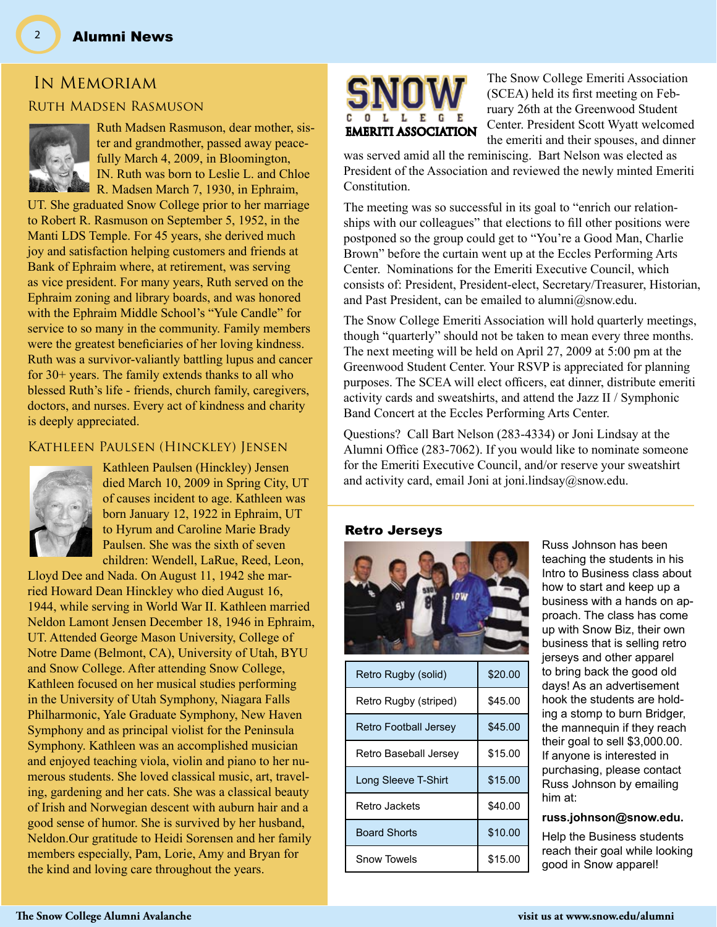# In Memoriam

#### Ruth Madsen Rasmuson



Ruth Madsen Rasmuson, dear mother, sister and grandmother, passed away peacefully March 4, 2009, in Bloomington, IN. Ruth was born to Leslie L. and Chloe R. Madsen March 7, 1930, in Ephraim,

UT. She graduated Snow College prior to her marriage to Robert R. Rasmuson on September 5, 1952, in the Manti LDS Temple. For 45 years, she derived much joy and satisfaction helping customers and friends at Bank of Ephraim where, at retirement, was serving as vice president. For many years, Ruth served on the Ephraim zoning and library boards, and was honored with the Ephraim Middle School's "Yule Candle" for service to so many in the community. Family members were the greatest beneficiaries of her loving kindness. Ruth was a survivor-valiantly battling lupus and cancer for 30+ years. The family extends thanks to all who blessed Ruth's life - friends, church family, caregivers, doctors, and nurses. Every act of kindness and charity is deeply appreciated.

#### Kathleen Paulsen (Hinckley) Jensen



Kathleen Paulsen (Hinckley) Jensen died March 10, 2009 in Spring City, UT of causes incident to age. Kathleen was born January 12, 1922 in Ephraim, UT to Hyrum and Caroline Marie Brady Paulsen. She was the sixth of seven children: Wendell, LaRue, Reed, Leon,

Lloyd Dee and Nada. On August 11, 1942 she married Howard Dean Hinckley who died August 16, 1944, while serving in World War II. Kathleen married Neldon Lamont Jensen December 18, 1946 in Ephraim, UT. Attended George Mason University, College of Notre Dame (Belmont, CA), University of Utah, BYU and Snow College. After attending Snow College, Kathleen focused on her musical studies performing in the University of Utah Symphony, Niagara Falls Philharmonic, Yale Graduate Symphony, New Haven Symphony and as principal violist for the Peninsula Symphony. Kathleen was an accomplished musician and enjoyed teaching viola, violin and piano to her numerous students. She loved classical music, art, traveling, gardening and her cats. She was a classical beauty of Irish and Norwegian descent with auburn hair and a good sense of humor. She is survived by her husband, Neldon.Our gratitude to Heidi Sorensen and her family members especially, Pam, Lorie, Amy and Bryan for the kind and loving care throughout the years.



The Snow College Emeriti Association (SCEA) held its first meeting on February 26th at the Greenwood Student Center. President Scott Wyatt welcomed the emeriti and their spouses, and dinner

was served amid all the reminiscing. Bart Nelson was elected as President of the Association and reviewed the newly minted Emeriti Constitution.

The meeting was so successful in its goal to "enrich our relationships with our colleagues" that elections to fill other positions were postponed so the group could get to "You're a Good Man, Charlie Brown" before the curtain went up at the Eccles Performing Arts Center. Nominations for the Emeriti Executive Council, which consists of: President, President-elect, Secretary/Treasurer, Historian, and Past President, can be emailed to alumni@snow.edu.

The Snow College Emeriti Association will hold quarterly meetings, though "quarterly" should not be taken to mean every three months. The next meeting will be held on April 27, 2009 at 5:00 pm at the Greenwood Student Center. Your RSVP is appreciated for planning purposes. The SCEA will elect officers, eat dinner, distribute emeriti activity cards and sweatshirts, and attend the Jazz II / Symphonic Band Concert at the Eccles Performing Arts Center.

Questions? Call Bart Nelson (283-4334) or Joni Lindsay at the Alumni Office (283-7062). If you would like to nominate someone for the Emeriti Executive Council, and/or reserve your sweatshirt and activity card, email Joni at joni.lindsay@snow.edu.

#### Retro Jerseys



| Retro Rugby (solid)          | \$20.00 |
|------------------------------|---------|
| Retro Rugby (striped)        | \$45.00 |
| <b>Retro Football Jersey</b> | \$45.00 |
| Retro Baseball Jersey        | \$15.00 |
| Long Sleeve T-Shirt          | \$15.00 |
| Retro Jackets                | \$40.00 |
| <b>Board Shorts</b>          | \$10.00 |
| Snow Towels                  | \$15.00 |

Russ Johnson has been teaching the students in his Intro to Business class about how to start and keep up a business with a hands on approach. The class has come up with Snow Biz, their own business that is selling retro jerseys and other apparel to bring back the good old days! As an advertisement hook the students are holding a stomp to burn Bridger, the mannequin if they reach their goal to sell \$3,000.00. If anyone is interested in purchasing, please contact Russ Johnson by emailing him at:

#### **russ.johnson@snow.edu.**

Help the Business students reach their goal while looking good in Snow apparel!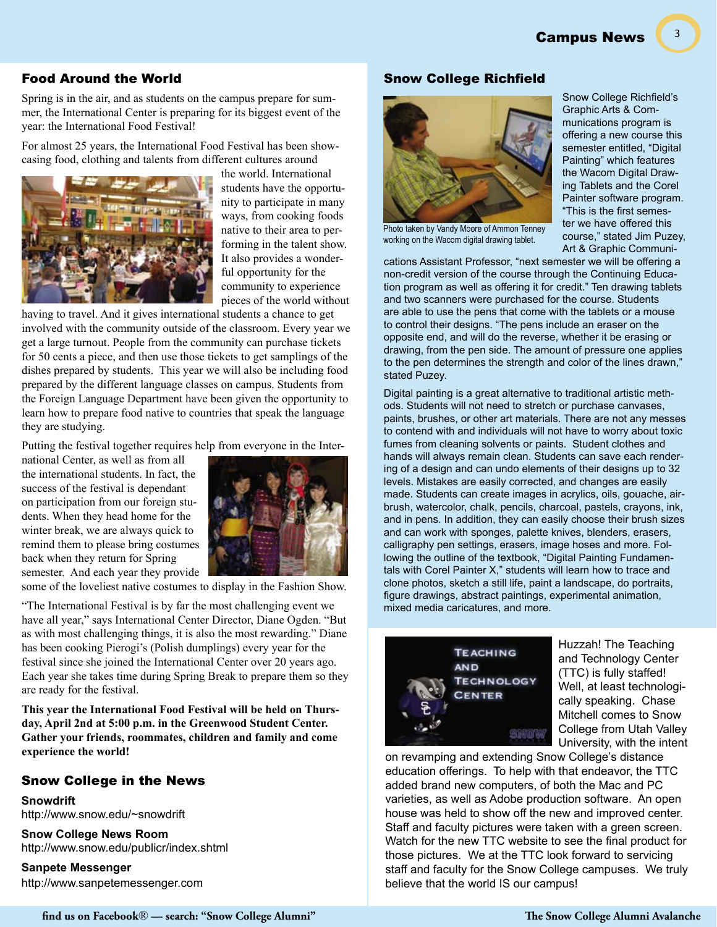Campus News

#### Food Around the World

Spring is in the air, and as students on the campus prepare for summer, the International Center is preparing for its biggest event of the year: the International Food Festival!

For almost 25 years, the International Food Festival has been showcasing food, clothing and talents from different cultures around



the world. International students have the opportunity to participate in many ways, from cooking foods native to their area to performing in the talent show. It also provides a wonderful opportunity for the community to experience pieces of the world without

having to travel. And it gives international students a chance to get involved with the community outside of the classroom. Every year we get a large turnout. People from the community can purchase tickets for 50 cents a piece, and then use those tickets to get samplings of the dishes prepared by students. This year we will also be including food prepared by the different language classes on campus. Students from the Foreign Language Department have been given the opportunity to learn how to prepare food native to countries that speak the language they are studying.

Putting the festival together requires help from everyone in the Inter-

national Center, as well as from all the international students. In fact, the success of the festival is dependant on participation from our foreign students. When they head home for the winter break, we are always quick to remind them to please bring costumes back when they return for Spring semester. And each year they provide

some of the loveliest native costumes to display in the Fashion Show.

"The International Festival is by far the most challenging event we have all year," says International Center Director, Diane Ogden. "But as with most challenging things, it is also the most rewarding." Diane has been cooking Pierogi's (Polish dumplings) every year for the festival since she joined the International Center over 20 years ago. Each year she takes time during Spring Break to prepare them so they are ready for the festival.

**This year the International Food Festival will be held on Thursday, April 2nd at 5:00 p.m. in the Greenwood Student Center. Gather your friends, roommates, children and family and come experience the world!**

#### Snow College in the News

**Snowdrift** http://www.snow.edu/~snowdrift

**Snow College News Room** http://www.snow.edu/publicr/index.shtml

**Sanpete Messenger** http://www.sanpetemessenger.com



Snow College Richfield

Photo taken by Vandy Moore of Ammon Tenney working on the Wacom digital drawing tablet.

Snow College Richfield's Graphic Arts & Communications program is offering a new course this semester entitled, "Digital Painting" which features the Wacom Digital Drawing Tablets and the Corel Painter software program. "This is the first semester we have offered this course," stated Jim Puzey, Art & Graphic Communi-

3

cations Assistant Professor, "next semester we will be offering a non-credit version of the course through the Continuing Education program as well as offering it for credit." Ten drawing tablets and two scanners were purchased for the course. Students are able to use the pens that come with the tablets or a mouse to control their designs. "The pens include an eraser on the opposite end, and will do the reverse, whether it be erasing or drawing, from the pen side. The amount of pressure one applies to the pen determines the strength and color of the lines drawn," stated Puzey.

Digital painting is a great alternative to traditional artistic methods. Students will not need to stretch or purchase canvases, paints, brushes, or other art materials. There are not any messes to contend with and individuals will not have to worry about toxic fumes from cleaning solvents or paints. Student clothes and hands will always remain clean. Students can save each rendering of a design and can undo elements of their designs up to 32 levels. Mistakes are easily corrected, and changes are easily made. Students can create images in acrylics, oils, gouache, airbrush, watercolor, chalk, pencils, charcoal, pastels, crayons, ink, and in pens. In addition, they can easily choose their brush sizes and can work with sponges, palette knives, blenders, erasers, calligraphy pen settings, erasers, image hoses and more. Following the outline of the textbook, "Digital Painting Fundamentals with Corel Painter X," students will learn how to trace and clone photos, sketch a still life, paint a landscape, do portraits, figure drawings, abstract paintings, experimental animation, mixed media caricatures, and more.



Huzzah! The Teaching and Technology Center (TTC) is fully staffed! Well, at least technologically speaking. Chase Mitchell comes to Snow College from Utah Valley University, with the intent

on revamping and extending Snow College's distance education offerings. To help with that endeavor, the TTC added brand new computers, of both the Mac and PC varieties, as well as Adobe production software. An open house was held to show off the new and improved center. Staff and faculty pictures were taken with a green screen. Watch for the new TTC website to see the final product for those pictures. We at the TTC look forward to servicing staff and faculty for the Snow College campuses. We truly believe that the world IS our campus!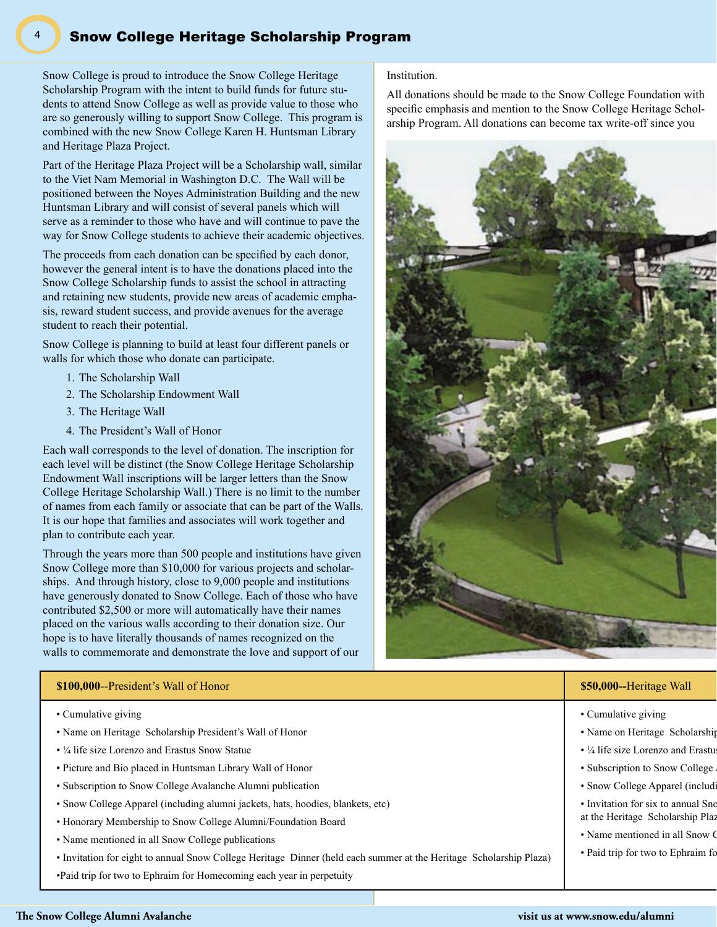#### Snow College Heritage Scholarship Program

Snow College is proud to introduce the Snow College Heritage Scholarship Program with the intent to build funds for future students to attend Snow College as well as provide value to those who are so generously willing to support Snow College. This program is combined with the new Snow College Karen H. Huntsman Library and Heritage Plaza Project.

Part of the Heritage Plaza Project will be a Scholarship wall, similar to the Viet Nam Memorial in Washington D.C. The Wall will be positioned between the Noyes Administration Building and the new Huntsman Library and will consist of several panels which will serve as a reminder to those who have and will continue to pave the way for Snow College students to achieve their academic objectives.

The proceeds from each donation can be specified by each donor, however the general intent is to have the donations placed into the Snow College Scholarship funds to assist the school in attracting and retaining new students, provide new areas of academic emphasis, reward student success, and provide avenues for the average student to reach their potential.

Snow College is planning to build at least four different panels or walls for which those who donate can participate.

- 1. The Scholarship Wall
- 2. The Scholarship Endowment Wall
- 3. The Heritage Wall
- 4. The President's Wall of Honor

Each wall corresponds to the level of donation. The inscription for each level will be distinct (the Snow College Heritage Scholarship Endowment Wall inscriptions will be larger letters than the Snow College Heritage Scholarship Wall.) There is no limit to the number of names from each family or associate that can be part of the Walls. It is our hope that families and associates will work together and plan to contribute each year.

Through the years more than 500 people and institutions have given Snow College more than \$10,000 for various projects and scholarships. And through history, close to 9,000 people and institutions have generously donated to Snow College. Each of those who have contributed \$2,500 or more will automatically have their names placed on the various walls according to their donation size. Our hope is to have literally thousands of names recognized on the walls to commemorate and demonstrate the love and support of our

#### **\$100,000--President's Wall of Honor \$100,000--**Scholarship Endowment Wall **\$2,5000--**Scholarship Endowment Wall **\$2,5000--**Heritage Wall

- Cumulative giving
- Name on Heritage Scholarship President's Wall of Honor
- ¼ life size Lorenzo and Erastus Snow Statue
- Picture and Bio placed in Huntsman Library Wall of Honor
- Subscription to Snow College Avalanche Alumni publication
- Snow College Apparel (including alumni jackets, hats, hoodies, blankets, etc)
- Honorary Membership to Snow College Alumni/Foundation Board
- Name mentioned in all Snow College publications
- Invitation for eight to annual Snow College Heritage Dinner (held each summer at the Heritage Scholarship Plaza)
- •Paid trip for two to Ephraim for Homecoming each year in perpetuity

#### Institution.

All donations should be made to the Snow College Foundation with specific emphasis and mention to the Snow College Heritage Scholarship Program. All donations can become tax write-off since you



- Cumulative giving
- Name on Heritage Scholarship
- $\cdot$  ¼ life size Lorenzo and Erastu
- Subscription to Snow College
- Snow College Apparel (including alumni s
- Invitation for six to annual Sno at the Heritage Scholarship Plaz
- Name mentioned in all Snow  $\epsilon$
- Paid trip for two to Ephraim for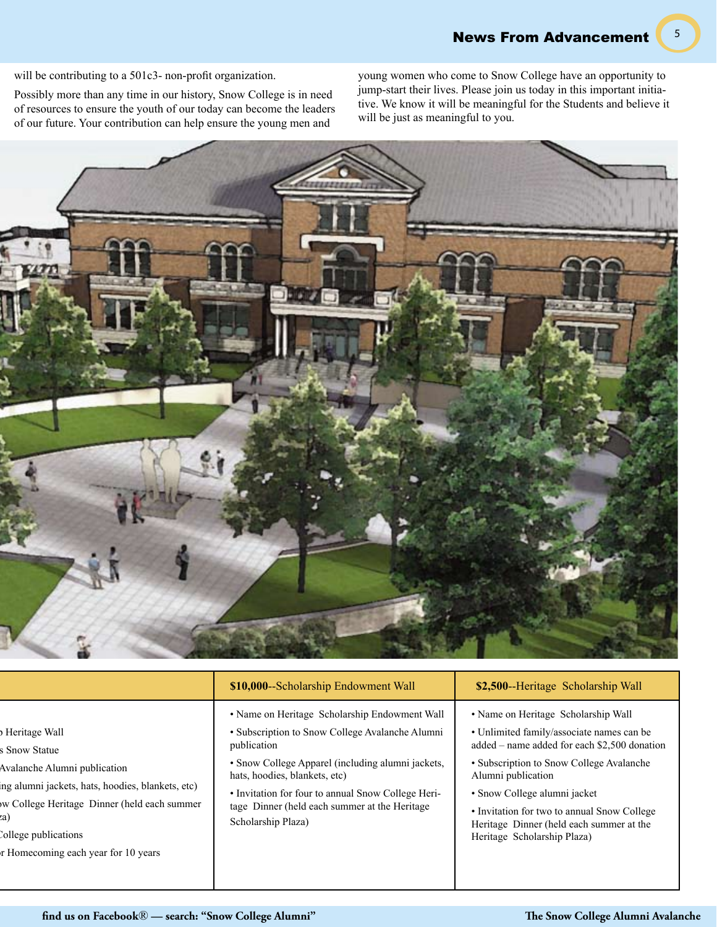5

will be contributing to a 501c3- non-profit organization.

Possibly more than any time in our history, Snow College is in need of resources to ensure the youth of our today can become the leaders of our future. Your contribution can help ensure the young men and

young women who come to Snow College have an opportunity to jump-start their lives. Please join us today in this important initiative. We know it will be meaningful for the Students and believe it will be just as meaningful to you.



|                                                                                                                                                                                                                                   | \$10,000 -- Scholarship Endowment Wall                                                                                                                                                                                                                                                                                             | \$2,500--Heritage Scholarship Wall                                                                                                                                                                                                                                                                                                                           |
|-----------------------------------------------------------------------------------------------------------------------------------------------------------------------------------------------------------------------------------|------------------------------------------------------------------------------------------------------------------------------------------------------------------------------------------------------------------------------------------------------------------------------------------------------------------------------------|--------------------------------------------------------------------------------------------------------------------------------------------------------------------------------------------------------------------------------------------------------------------------------------------------------------------------------------------------------------|
| Heritage Wall<br>s Snow Statue<br>Avalanche Alumni publication<br>ing alumni jackets, hats, hoodies, blankets, etc)<br>w College Heritage Dinner (held each summer<br>College publications<br>r Homecoming each year for 10 years | • Name on Heritage Scholarship Endowment Wall<br>• Subscription to Snow College Avalanche Alumni<br>publication<br>• Snow College Apparel (including alumni jackets,<br>hats, hoodies, blankets, etc)<br>• Invitation for four to annual Snow College Heri-<br>tage Dinner (held each summer at the Heritage<br>Scholarship Plaza) | • Name on Heritage Scholarship Wall<br>· Unlimited family/associate names can be<br>added – name added for each \$2,500 donation<br>• Subscription to Snow College Avalanche<br>Alumni publication<br>• Snow College alumni jacket<br>• Invitation for two to annual Snow College<br>Heritage Dinner (held each summer at the<br>Heritage Scholarship Plaza) |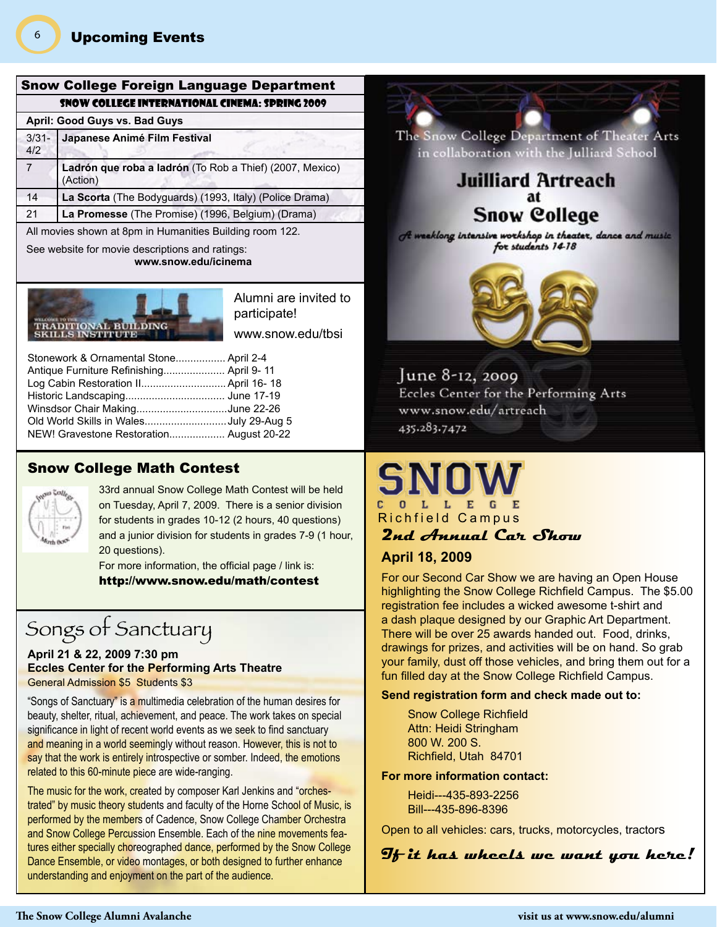#### Snow College Foreign Language Department Snow College International Cinema: Spring 2009

#### **April: Good Guys vs. Bad Guys**

| $3/31 -$<br>4/2 | Japanese Animé Film Festival                                         |  |  |  |  |
|-----------------|----------------------------------------------------------------------|--|--|--|--|
| 7               | Ladrón que roba a ladrón (To Rob a Thief) (2007, Mexico)<br>(Action) |  |  |  |  |
| 14              | La Scorta (The Bodyguards) (1993, Italy) (Police Drama)              |  |  |  |  |
| 21              | La Promesse (The Promise) (1996, Belgium) (Drama)                    |  |  |  |  |

All movies shown at 8pm in Humanities Building room 122.

See website for movie descriptions and ratings: **www.snow.edu/icinema**



Alumni are invited to participate! www.snow.edu/tbsi

| Stonework & Ornamental Stone April 2-4   |
|------------------------------------------|
|                                          |
| Log Cabin Restoration II April 16- 18    |
|                                          |
| Winsdsor Chair MakingJune 22-26          |
| Old World Skills in WalesJuly 29-Aug 5   |
| NEW! Gravestone Restoration August 20-22 |
|                                          |

#### Snow College Math Contest



33rd annual Snow College Math Contest will be held on Tuesday, April 7, 2009. There is a senior division for students in grades 10-12 (2 hours, 40 questions) and a junior division for students in grades 7-9 (1 hour, 20 questions).

For more information, the official page / link is: http://www.snow.edu/math/contest

## Songs of Sanctuary

#### **April 21 & 22, 2009 7:30 pm Eccles Center for the Performing Arts Theatre** General Admission \$5 Students \$3

"Songs of Sanctuary" is a multimedia celebration of the human desires for beauty, shelter, ritual, achievement, and peace. The work takes on special significance in light of recent world events as we seek to find sanctuary and meaning in a world seemingly without reason. However, this is not to say that the work is entirely introspective or somber. Indeed, the emotions related to this 60-minute piece are wide-ranging.

The music for the work, created by composer Karl Jenkins and "orchestrated" by music theory students and faculty of the Horne School of Music, is performed by the members of Cadence, Snow College Chamber Orchestra and Snow College Percussion Ensemble. Each of the nine movements features either specially choreographed dance, performed by the Snow College Dance Ensemble, or video montages, or both designed to further enhance understanding and enjoyment on the part of the audience.



in collaboration with the Julliard School

### **Juilliard Artreach** at **Snow College**

A weeklong intensive workshop in theater, dance and music for students 14-18



June 8-12, 2009 Eccles Center for the Performing Arts www.snow.edu/artreach 435.283.7472

# SNOV C O L L E G E<br>Richfield Campus

#### **2nd Annual Car Show**

#### **April 18, 2009**

For our Second Car Show we are having an Open House highlighting the Snow College Richfield Campus. The \$5.00 registration fee includes a wicked awesome t-shirt and a dash plaque designed by our Graphic Art Department. There will be over 25 awards handed out. Food, drinks, drawings for prizes, and activities will be on hand. So grab your family, dust off those vehicles, and bring them out for a fun filled day at the Snow College Richfield Campus.

#### **Send registration form and check made out to:**

Snow College Richfield Attn: Heidi Stringham 800 W. 200 S. Richfield, Utah 84701

#### **For more information contact:**

Heidi---435-893-2256 Bill---435-896-8396

Open to all vehicles: cars, trucks, motorcycles, tractors

**If it has wheels we want you here!**

6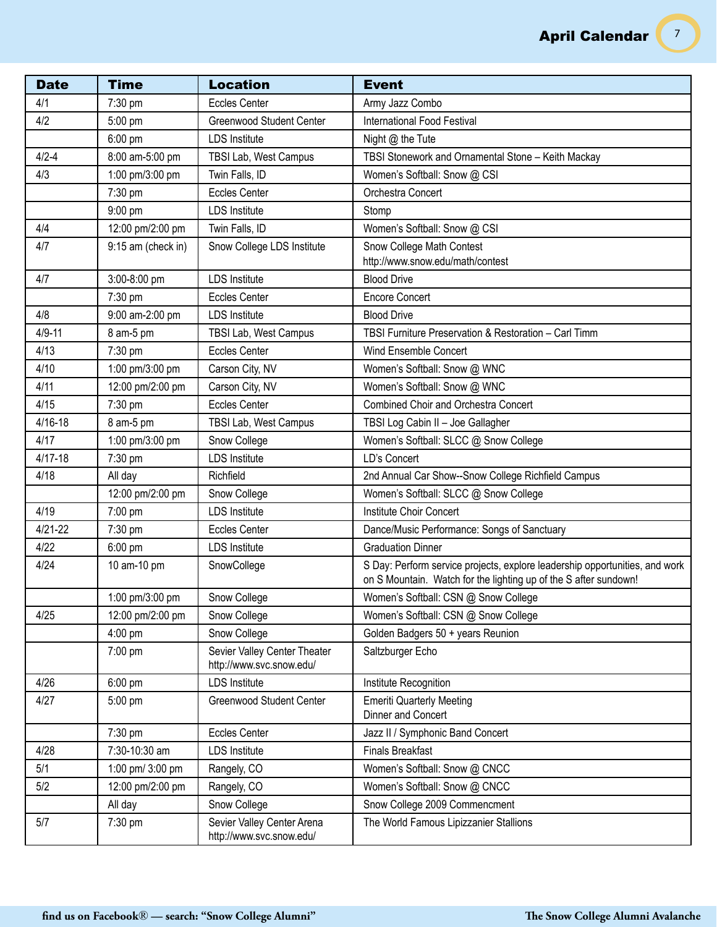| <b>Date</b> | <b>Time</b>        | <b>Location</b>                                          | <b>Event</b>                                                                                                                                    |
|-------------|--------------------|----------------------------------------------------------|-------------------------------------------------------------------------------------------------------------------------------------------------|
| 4/1         | 7:30 pm            | <b>Eccles Center</b>                                     | Army Jazz Combo                                                                                                                                 |
| 4/2         | 5:00 pm            | <b>Greenwood Student Center</b>                          | <b>International Food Festival</b>                                                                                                              |
|             | 6:00 pm            | <b>LDS</b> Institute                                     | Night @ the Tute                                                                                                                                |
| $4/2 - 4$   | 8:00 am-5:00 pm    | TBSI Lab, West Campus                                    | TBSI Stonework and Ornamental Stone - Keith Mackay                                                                                              |
| 4/3         | 1:00 pm/3:00 pm    | Twin Falls, ID                                           | Women's Softball: Snow @ CSI                                                                                                                    |
|             | 7:30 pm            | <b>Eccles Center</b>                                     | Orchestra Concert                                                                                                                               |
|             | 9:00 pm            | <b>LDS Institute</b>                                     | Stomp                                                                                                                                           |
| 4/4         | 12:00 pm/2:00 pm   | Twin Falls, ID                                           | Women's Softball: Snow @ CSI                                                                                                                    |
| 4/7         | 9:15 am (check in) | Snow College LDS Institute                               | Snow College Math Contest                                                                                                                       |
|             |                    |                                                          | http://www.snow.edu/math/contest                                                                                                                |
| 4/7         | 3:00-8:00 pm       | <b>LDS</b> Institute                                     | <b>Blood Drive</b>                                                                                                                              |
|             | 7:30 pm            | <b>Eccles Center</b>                                     | <b>Encore Concert</b>                                                                                                                           |
| 4/8         | 9:00 am-2:00 pm    | <b>LDS</b> Institute                                     | <b>Blood Drive</b>                                                                                                                              |
| $4/9 - 11$  | 8 am-5 pm          | TBSI Lab, West Campus                                    | TBSI Furniture Preservation & Restoration - Carl Timm                                                                                           |
| 4/13        | 7:30 pm            | <b>Eccles Center</b>                                     | Wind Ensemble Concert                                                                                                                           |
| 4/10        | 1:00 pm/3:00 pm    | Carson City, NV                                          | Women's Softball: Snow @ WNC                                                                                                                    |
| 4/11        | 12:00 pm/2:00 pm   | Carson City, NV                                          | Women's Softball: Snow @ WNC                                                                                                                    |
| 4/15        | 7:30 pm            | <b>Eccles Center</b>                                     | <b>Combined Choir and Orchestra Concert</b>                                                                                                     |
| 4/16-18     | 8 am-5 pm          | TBSI Lab, West Campus                                    | TBSI Log Cabin II - Joe Gallagher                                                                                                               |
| 4/17        | 1:00 pm/3:00 pm    | Snow College                                             | Women's Softball: SLCC @ Snow College                                                                                                           |
| $4/17 - 18$ | 7:30 pm            | <b>LDS</b> Institute                                     | LD's Concert                                                                                                                                    |
| 4/18        | All day            | Richfield                                                | 2nd Annual Car Show--Snow College Richfield Campus                                                                                              |
|             | 12:00 pm/2:00 pm   | Snow College                                             | Women's Softball: SLCC @ Snow College                                                                                                           |
| 4/19        | 7:00 pm            | <b>LDS</b> Institute                                     | Institute Choir Concert                                                                                                                         |
| $4/21 - 22$ | 7:30 pm            | <b>Eccles Center</b>                                     | Dance/Music Performance: Songs of Sanctuary                                                                                                     |
| 4/22        | 6:00 pm            | <b>LDS</b> Institute                                     | <b>Graduation Dinner</b>                                                                                                                        |
| 4/24        | 10 am-10 pm        | SnowCollege                                              | S Day: Perform service projects, explore leadership opportunities, and work<br>on S Mountain. Watch for the lighting up of the S after sundown! |
|             | 1:00 pm/3:00 pm    | Snow College                                             | Women's Softball: CSN @ Snow College                                                                                                            |
| 4/25        | 12:00 pm/2:00 pm   | Snow College                                             | Women's Softball: CSN @ Snow College                                                                                                            |
|             | $4:00$ pm          | Snow College                                             | Golden Badgers 50 + years Reunion                                                                                                               |
|             | 7:00 pm            | Sevier Valley Center Theater<br>http://www.svc.snow.edu/ | Saltzburger Echo                                                                                                                                |
| 4/26        | $6:00$ pm          | <b>LDS Institute</b>                                     | Institute Recognition                                                                                                                           |
| 4/27        | 5:00 pm            | Greenwood Student Center                                 | <b>Emeriti Quarterly Meeting</b><br>Dinner and Concert                                                                                          |
|             | 7:30 pm            | <b>Eccles Center</b>                                     | Jazz II / Symphonic Band Concert                                                                                                                |
| 4/28        | 7:30-10:30 am      | <b>LDS Institute</b>                                     | <b>Finals Breakfast</b>                                                                                                                         |
| 5/1         | 1:00 pm/ 3:00 pm   | Rangely, CO                                              | Women's Softball: Snow @ CNCC                                                                                                                   |
| 5/2         | 12:00 pm/2:00 pm   | Rangely, CO                                              | Women's Softball: Snow @ CNCC                                                                                                                   |
|             | All day            | Snow College                                             | Snow College 2009 Commencment                                                                                                                   |
| 5/7         | 7:30 pm            | Sevier Valley Center Arena<br>http://www.svc.snow.edu/   | The World Famous Lipizzanier Stallions                                                                                                          |